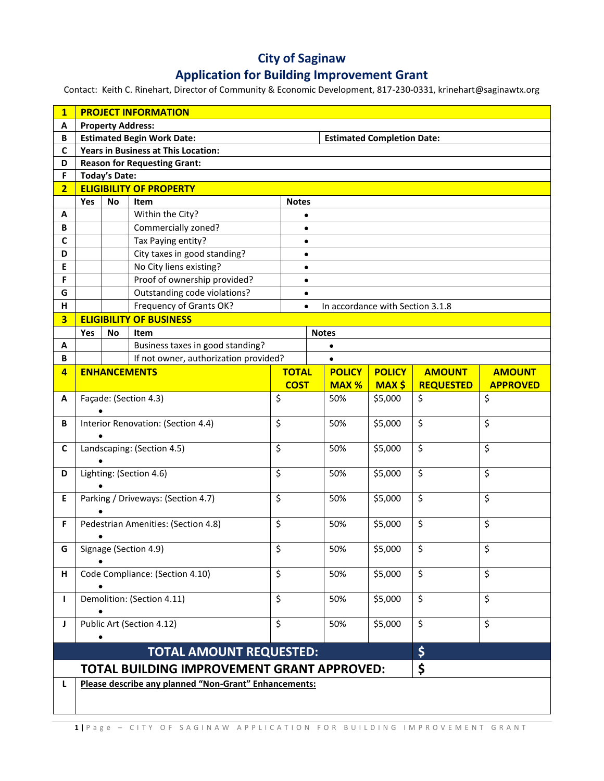## **City of Saginaw**

## **Application for Building Improvement Grant**

Contact: Keith C. Rinehart, Director of Community & Economic Development, 817-230-0331, krinehart@saginawtx.org

| $\mathbf{1}$   | <b>PROJECT INFORMATION</b>                                                                                 |                                            |                                         |              |                        |               |               |                  |                                  |  |
|----------------|------------------------------------------------------------------------------------------------------------|--------------------------------------------|-----------------------------------------|--------------|------------------------|---------------|---------------|------------------|----------------------------------|--|
| Α              | <b>Property Address:</b>                                                                                   |                                            |                                         |              |                        |               |               |                  |                                  |  |
| B              | <b>Estimated Begin Work Date:</b><br><b>Estimated Completion Date:</b>                                     |                                            |                                         |              |                        |               |               |                  |                                  |  |
| C              |                                                                                                            | <b>Years in Business at This Location:</b> |                                         |              |                        |               |               |                  |                                  |  |
| D              |                                                                                                            | <b>Reason for Requesting Grant:</b>        |                                         |              |                        |               |               |                  |                                  |  |
| F              |                                                                                                            | <b>Today's Date:</b>                       |                                         |              |                        |               |               |                  |                                  |  |
| $\overline{2}$ |                                                                                                            | <b>ELIGIBILITY OF PROPERTY</b>             |                                         |              |                        |               |               |                  |                                  |  |
|                | Yes                                                                                                        | No                                         | Item                                    |              | <b>Notes</b>           |               |               |                  |                                  |  |
| Α<br>B         |                                                                                                            |                                            | Within the City?<br>Commercially zoned? |              |                        |               |               |                  |                                  |  |
| C              |                                                                                                            |                                            | Tax Paying entity?                      |              | $\bullet$              |               |               |                  |                                  |  |
| D              |                                                                                                            |                                            | City taxes in good standing?            |              | $\bullet$              |               |               |                  |                                  |  |
| E              |                                                                                                            |                                            | No City liens existing?                 |              | $\bullet$              |               |               |                  |                                  |  |
| F              |                                                                                                            |                                            | Proof of ownership provided?            |              | $\bullet$<br>$\bullet$ |               |               |                  |                                  |  |
| G              |                                                                                                            |                                            | Outstanding code violations?            |              |                        |               |               |                  |                                  |  |
| H              |                                                                                                            |                                            |                                         |              | $\bullet$              |               |               |                  |                                  |  |
|                | Frequency of Grants OK?<br>In accordance with Section 3.1.8<br>$\bullet$<br><b>ELIGIBILITY OF BUSINESS</b> |                                            |                                         |              |                        |               |               |                  |                                  |  |
| 3              |                                                                                                            |                                            |                                         |              |                        |               |               |                  |                                  |  |
|                | Yes                                                                                                        | No                                         | Item                                    | <b>Notes</b> |                        |               |               |                  |                                  |  |
| Α<br>B         |                                                                                                            | Business taxes in good standing?           |                                         |              |                        | $\bullet$     |               |                  |                                  |  |
| $\overline{4}$ | If not owner, authorization provided?                                                                      |                                            |                                         | <b>TOTAL</b> |                        | <b>POLICY</b> | <b>POLICY</b> | <b>AMOUNT</b>    |                                  |  |
|                |                                                                                                            | <b>ENHANCEMENTS</b>                        |                                         | <b>COST</b>  |                        | <b>MAX %</b>  | <b>MAX \$</b> | <b>REQUESTED</b> | <b>AMOUNT</b><br><b>APPROVED</b> |  |
| A              |                                                                                                            | Façade: (Section 4.3)                      |                                         |              |                        | 50%           | \$5,000       | \$               | \$                               |  |
|                | $\overline{\mathcal{S}}$                                                                                   |                                            |                                         |              |                        |               |               |                  |                                  |  |
| В              | Interior Renovation: (Section 4.4)                                                                         |                                            |                                         | \$           |                        | 50%           | \$5,000       | \$               | \$                               |  |
|                |                                                                                                            |                                            |                                         |              |                        |               |               |                  |                                  |  |
| C              | Landscaping: (Section 4.5)                                                                                 |                                            |                                         | \$           |                        | 50%           | \$5,000       | \$               | \$                               |  |
|                |                                                                                                            |                                            |                                         |              |                        |               |               |                  |                                  |  |
| D              |                                                                                                            |                                            | Lighting: (Section 4.6)                 | \$           |                        | 50%           | \$5,000       | \$               | \$                               |  |
|                |                                                                                                            |                                            |                                         |              |                        |               |               | \$               | \$                               |  |
| E              |                                                                                                            | \$<br>Parking / Driveways: (Section 4.7)   |                                         |              |                        | 50%           | \$5,000       |                  |                                  |  |
| F.             |                                                                                                            |                                            |                                         | $\zeta$      |                        | 50%           | \$5,000       | \$               | \$                               |  |
|                | Pedestrian Amenities: (Section 4.8)                                                                        |                                            |                                         |              |                        |               |               |                  |                                  |  |
| G              | Signage (Section 4.9)                                                                                      |                                            |                                         | Ş            |                        | 50%           | \$5,000       | Ş                | Ş                                |  |
|                |                                                                                                            |                                            |                                         |              |                        |               |               |                  |                                  |  |
| н              | Code Compliance: (Section 4.10)                                                                            |                                            |                                         | \$           |                        | 50%           | \$5,000       | \$               | \$                               |  |
|                |                                                                                                            |                                            |                                         |              |                        |               |               |                  |                                  |  |
| $\mathbf{I}$   | Demolition: (Section 4.11)                                                                                 |                                            |                                         | \$           |                        | 50%           | \$5,000       | \$               | \$                               |  |
|                |                                                                                                            |                                            |                                         |              |                        |               |               |                  |                                  |  |
| J              | Public Art (Section 4.12)                                                                                  |                                            |                                         | \$           |                        | 50%           | \$5,000       | \$               | \$                               |  |
|                | \$<br><b>TOTAL AMOUNT REQUESTED:</b>                                                                       |                                            |                                         |              |                        |               |               |                  |                                  |  |
|                | \$<br>TOTAL BUILDING IMPROVEMENT GRANT APPROVED:                                                           |                                            |                                         |              |                        |               |               |                  |                                  |  |
| L              | Please describe any planned "Non-Grant" Enhancements:                                                      |                                            |                                         |              |                        |               |               |                  |                                  |  |
|                |                                                                                                            |                                            |                                         |              |                        |               |               |                  |                                  |  |
|                |                                                                                                            |                                            |                                         |              |                        |               |               |                  |                                  |  |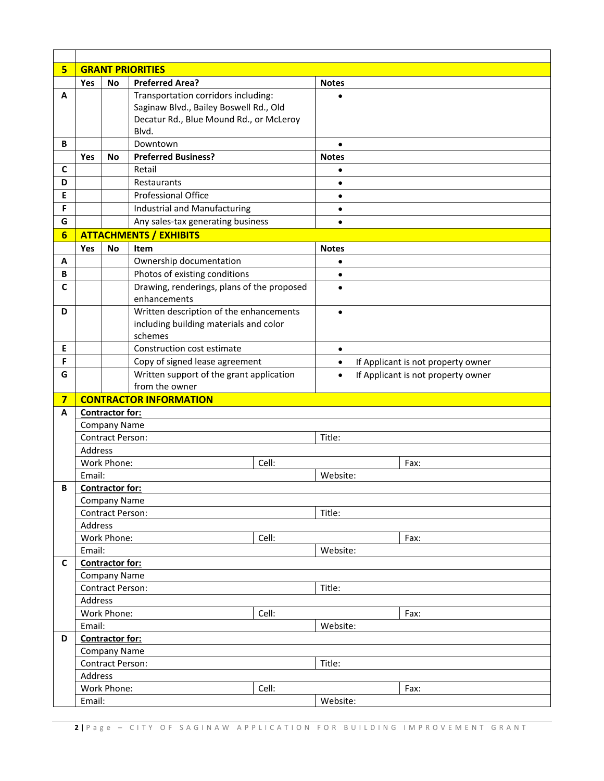| 5 <sup>1</sup> | <b>GRANT PRIORITIES</b>                       |                                        |                                                            |  |                                                 |                                    |  |
|----------------|-----------------------------------------------|----------------------------------------|------------------------------------------------------------|--|-------------------------------------------------|------------------------------------|--|
|                | Yes                                           | No                                     | <b>Preferred Area?</b>                                     |  | <b>Notes</b>                                    |                                    |  |
| A              |                                               |                                        | Transportation corridors including:                        |  |                                                 |                                    |  |
|                |                                               |                                        | Saginaw Blvd., Bailey Boswell Rd., Old                     |  |                                                 |                                    |  |
|                |                                               |                                        | Decatur Rd., Blue Mound Rd., or McLeroy                    |  |                                                 |                                    |  |
|                |                                               |                                        | Blvd.                                                      |  |                                                 |                                    |  |
| B              |                                               |                                        | Downtown                                                   |  | $\bullet$                                       |                                    |  |
|                | Yes                                           | No                                     | <b>Preferred Business?</b>                                 |  | <b>Notes</b>                                    |                                    |  |
| $\mathbf c$    |                                               |                                        | Retail                                                     |  | $\bullet$                                       |                                    |  |
| D              |                                               |                                        | Restaurants                                                |  | $\bullet$                                       |                                    |  |
| E              |                                               |                                        | <b>Professional Office</b>                                 |  | $\bullet$                                       |                                    |  |
| F              |                                               |                                        | <b>Industrial and Manufacturing</b>                        |  | $\bullet$                                       |                                    |  |
| G              |                                               |                                        | Any sales-tax generating business                          |  | $\bullet$                                       |                                    |  |
| 6              |                                               | <b>ATTACHMENTS / EXHIBITS</b>          |                                                            |  |                                                 |                                    |  |
|                | Yes                                           | No                                     | Item                                                       |  | <b>Notes</b>                                    |                                    |  |
| Α              |                                               |                                        | Ownership documentation                                    |  | $\bullet$                                       |                                    |  |
| B              |                                               |                                        | Photos of existing conditions                              |  | $\bullet$                                       |                                    |  |
| C              |                                               |                                        | Drawing, renderings, plans of the proposed                 |  | $\bullet$                                       |                                    |  |
|                |                                               |                                        | enhancements                                               |  |                                                 |                                    |  |
| D              |                                               |                                        | Written description of the enhancements                    |  | $\bullet$                                       |                                    |  |
|                |                                               | including building materials and color |                                                            |  |                                                 |                                    |  |
|                |                                               |                                        | schemes                                                    |  |                                                 |                                    |  |
| Е              |                                               |                                        | Construction cost estimate                                 |  | $\bullet$                                       |                                    |  |
| F              |                                               |                                        | Copy of signed lease agreement                             |  | If Applicant is not property owner<br>$\bullet$ |                                    |  |
| G              |                                               |                                        | Written support of the grant application<br>from the owner |  | $\bullet$                                       | If Applicant is not property owner |  |
| $\overline{7}$ |                                               |                                        |                                                            |  |                                                 |                                    |  |
| A              |                                               | <b>CONTRACTOR INFORMATION</b>          |                                                            |  |                                                 |                                    |  |
|                | <b>Contractor for:</b><br><b>Company Name</b> |                                        |                                                            |  |                                                 |                                    |  |
|                | <b>Contract Person:</b><br>Title:             |                                        |                                                            |  |                                                 |                                    |  |
|                | Address                                       |                                        |                                                            |  |                                                 |                                    |  |
|                |                                               | Work Phone:                            | Cell:                                                      |  |                                                 | Fax:                               |  |
|                | Email:                                        |                                        |                                                            |  | Website:                                        |                                    |  |
| В              |                                               |                                        |                                                            |  |                                                 |                                    |  |
|                | <b>Contractor for:</b><br><b>Company Name</b> |                                        |                                                            |  |                                                 |                                    |  |
|                |                                               | <b>Contract Person:</b>                |                                                            |  | Title:                                          |                                    |  |
|                | Address                                       |                                        |                                                            |  |                                                 |                                    |  |
|                |                                               | Work Phone:<br>Cell:                   |                                                            |  |                                                 | Fax:                               |  |
|                | Email:                                        |                                        |                                                            |  | Website:                                        |                                    |  |
| C              | <b>Contractor for:</b>                        |                                        |                                                            |  |                                                 |                                    |  |
|                | <b>Company Name</b>                           |                                        |                                                            |  |                                                 |                                    |  |
|                | Contract Person:<br>Title:                    |                                        |                                                            |  |                                                 |                                    |  |
|                |                                               | Address                                |                                                            |  |                                                 |                                    |  |
|                |                                               | Work Phone:<br>Cell:                   |                                                            |  |                                                 | Fax:                               |  |
|                |                                               | Email:                                 |                                                            |  | Website:                                        |                                    |  |
| D              |                                               | Contractor for:                        |                                                            |  |                                                 |                                    |  |
|                |                                               | <b>Company Name</b>                    |                                                            |  |                                                 |                                    |  |
|                |                                               | Title:<br>Contract Person:             |                                                            |  |                                                 |                                    |  |
|                | Address                                       |                                        |                                                            |  |                                                 |                                    |  |
|                |                                               | Work Phone:<br>Cell:                   |                                                            |  |                                                 | Fax:                               |  |
|                | Email:                                        |                                        |                                                            |  | Website:                                        |                                    |  |